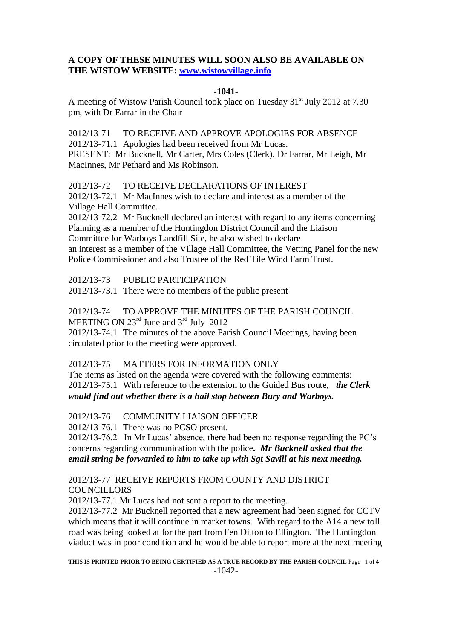#### **A COPY OF THESE MINUTES WILL SOON ALSO BE AVAILABLE ON THE WISTOW WEBSITE: [www.wistowvillage.info](http://www.wistowvillage.info/)**

#### **-1041-**

A meeting of Wistow Parish Council took place on Tuesday 31<sup>st</sup> July 2012 at 7.30 pm, with Dr Farrar in the Chair

2012/13-71 TO RECEIVE AND APPROVE APOLOGIES FOR ABSENCE 2012/13-71.1 Apologies had been received from Mr Lucas. PRESENT: Mr Bucknell, Mr Carter, Mrs Coles (Clerk), Dr Farrar, Mr Leigh, Mr MacInnes, Mr Pethard and Ms Robinson.

2012/13-72 TO RECEIVE DECLARATIONS OF INTEREST 2012/13-72.1 Mr MacInnes wish to declare and interest as a member of the

Village Hall Committee.

2012/13-72.2 Mr Bucknell declared an interest with regard to any items concerning Planning as a member of the Huntingdon District Council and the Liaison Committee for Warboys Landfill Site, he also wished to declare an interest as a member of the Village Hall Committee, the Vetting Panel for the new Police Commissioner and also Trustee of the Red Tile Wind Farm Trust.

2012/13-73 PUBLIC PARTICIPATION

2012/13-73.1 There were no members of the public present

2012/13-74 TO APPROVE THE MINUTES OF THE PARISH COUNCIL

MEETING ON  $23^{\text{rd}}$  June and  $3^{\text{rd}}$  July 2012

2012/13-74.1 The minutes of the above Parish Council Meetings, having been circulated prior to the meeting were approved.

## 2012/13-75 MATTERS FOR INFORMATION ONLY

The items as listed on the agenda were covered with the following comments: 2012/13-75.1 With reference to the extension to the Guided Bus route, *the Clerk would find out whether there is a hail stop between Bury and Warboys.*

2012/13-76 COMMUNITY LIAISON OFFICER

2012/13-76.1 There was no PCSO present.

2012/13-76.2 In Mr Lucas' absence, there had been no response regarding the PC's concerns regarding communication with the police*. Mr Bucknell asked that the email string be forwarded to him to take up with Sgt Savill at his next meeting.*

## 2012/13-77 RECEIVE REPORTS FROM COUNTY AND DISTRICT **COUNCILLORS**

2012/13-77.1 Mr Lucas had not sent a report to the meeting.

2012/13-77.2 Mr Bucknell reported that a new agreement had been signed for CCTV which means that it will continue in market towns. With regard to the A14 a new toll road was being looked at for the part from Fen Ditton to Ellington. The Huntingdon viaduct was in poor condition and he would be able to report more at the next meeting

**THIS IS PRINTED PRIOR TO BEING CERTIFIED AS A TRUE RECORD BY THE PARISH COUNCIL** Page 1 of 4 -1042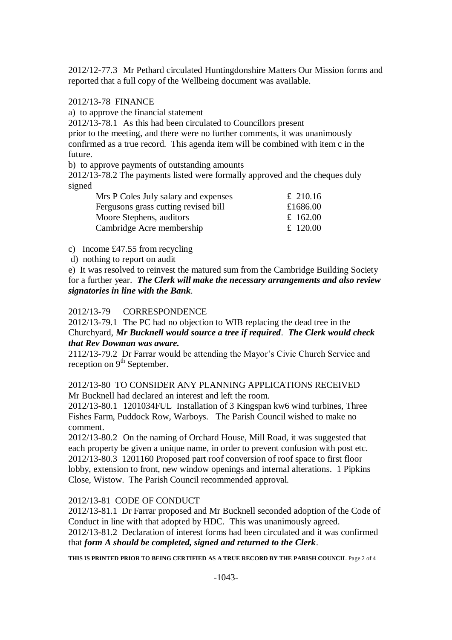2012/12-77.3 Mr Pethard circulated Huntingdonshire Matters Our Mission forms and reported that a full copy of the Wellbeing document was available.

# 2012/13-78 FINANCE

a) to approve the financial statement

2012/13-78.1 As this had been circulated to Councillors present

prior to the meeting, and there were no further comments, it was unanimously confirmed as a true record. This agenda item will be combined with item c in the future.

b) to approve payments of outstanding amounts

2012/13-78.2 The payments listed were formally approved and the cheques duly signed

| Mrs P Coles July salary and expenses | £ 210.16 |
|--------------------------------------|----------|
| Fergusons grass cutting revised bill | £1686.00 |
| Moore Stephens, auditors             | £ 162.00 |
| Cambridge Acre membership            | £ 120.00 |

c) Income £47.55 from recycling

d) nothing to report on audit

e) It was resolved to reinvest the matured sum from the Cambridge Building Society for a further year. *The Clerk will make the necessary arrangements and also review signatories in line with the Bank*.

## 2012/13-79 CORRESPONDENCE

2012/13-79.1 The PC had no objection to WIB replacing the dead tree in the Churchyard, *Mr Bucknell would source a tree if required*. *The Clerk would check that Rev Dowman was aware.*

2112/13-79.2 Dr Farrar would be attending the Mayor's Civic Church Service and reception on  $9<sup>th</sup>$  September.

2012/13-80 TO CONSIDER ANY PLANNING APPLICATIONS RECEIVED Mr Bucknell had declared an interest and left the room.

2012/13-80.1 1201034FUL Installation of 3 Kingspan kw6 wind turbines, Three Fishes Farm, Puddock Row, Warboys. The Parish Council wished to make no comment.

2012/13-80.2 On the naming of Orchard House, Mill Road, it was suggested that each property be given a unique name, in order to prevent confusion with post etc. 2012/13-80.3 1201160 Proposed part roof conversion of roof space to first floor lobby, extension to front, new window openings and internal alterations. 1 Pipkins Close, Wistow. The Parish Council recommended approval.

## 2012/13-81 CODE OF CONDUCT

2012/13-81.1 Dr Farrar proposed and Mr Bucknell seconded adoption of the Code of Conduct in line with that adopted by HDC. This was unanimously agreed. 2012/13-81.2 Declaration of interest forms had been circulated and it was confirmed that *form A should be completed, signed and returned to the Clerk*.

**THIS IS PRINTED PRIOR TO BEING CERTIFIED AS A TRUE RECORD BY THE PARISH COUNCIL** Page 2 of 4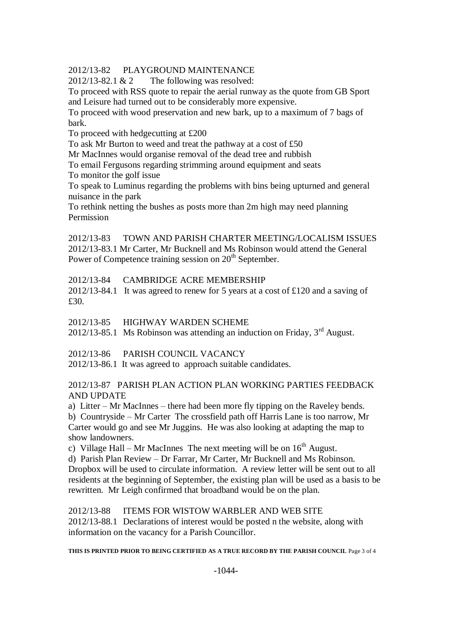2012/13-82 PLAYGROUND MAINTENANCE

 $2012/13-82.1 \& 2$  The following was resolved:

To proceed with RSS quote to repair the aerial runway as the quote from GB Sport and Leisure had turned out to be considerably more expensive.

To proceed with wood preservation and new bark, up to a maximum of 7 bags of bark.

To proceed with hedgecutting at £200

To ask Mr Burton to weed and treat the pathway at a cost of £50

Mr MacInnes would organise removal of the dead tree and rubbish

To email Fergusons regarding strimming around equipment and seats

To monitor the golf issue

To speak to Luminus regarding the problems with bins being upturned and general nuisance in the park

To rethink netting the bushes as posts more than 2m high may need planning Permission

2012/13-83 TOWN AND PARISH CHARTER MEETING/LOCALISM ISSUES 2012/13-83.1 Mr Carter, Mr Bucknell and Ms Robinson would attend the General Power of Competence training session on  $20<sup>th</sup>$  September.

#### 2012/13-84 CAMBRIDGE ACRE MEMBERSHIP

2012/13-84.1 It was agreed to renew for 5 years at a cost of £120 and a saving of £30.

2012/13-85 HIGHWAY WARDEN SCHEME

2012/13-85.1 Ms Robinson was attending an induction on Friday,  $3<sup>rd</sup>$  August.

2012/13-86 PARISH COUNCIL VACANCY

2012/13-86.1 It was agreed to approach suitable candidates.

#### 2012/13-87 PARISH PLAN ACTION PLAN WORKING PARTIES FEEDBACK AND UPDATE

a) Litter – Mr MacInnes – there had been more fly tipping on the Raveley bends.

b) Countryside – Mr Carter The crossfield path off Harris Lane is too narrow, Mr Carter would go and see Mr Juggins. He was also looking at adapting the map to show landowners.

c) Village Hall – Mr MacInnes The next meeting will be on  $16<sup>th</sup>$  August.

d) Parish Plan Review – Dr Farrar, Mr Carter, Mr Bucknell and Ms Robinson. Dropbox will be used to circulate information. A review letter will be sent out to all residents at the beginning of September, the existing plan will be used as a basis to be

rewritten. Mr Leigh confirmed that broadband would be on the plan.

2012/13-88 ITEMS FOR WISTOW WARBLER AND WEB SITE

2012/13-88.1 Declarations of interest would be posted n the website, along with information on the vacancy for a Parish Councillor.

#### **THIS IS PRINTED PRIOR TO BEING CERTIFIED AS A TRUE RECORD BY THE PARISH COUNCIL** Page 3 of 4